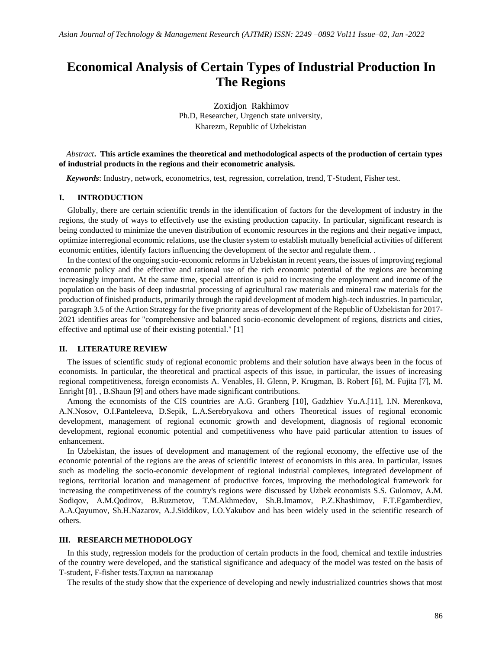# **Economical Analysis of Certain Types of Industrial Production In The Regions**

Zoxidjon Rakhimov Ph.D, Researcher, Urgench state university, Kharezm, Republic of Uzbekistan

*Abstract***. This article examines the theoretical and methodological aspects of the production of certain types of industrial products in the regions and their econometric analysis.**

*Keywords*: Industry, network, econometrics, test, regression, correlation, trend, T-Student, Fisher test.

## **I. INTRODUCTION**

Globally, there are certain scientific trends in the identification of factors for the development of industry in the regions, the study of ways to effectively use the existing production capacity. In particular, significant research is being conducted to minimize the uneven distribution of economic resources in the regions and their negative impact, optimize interregional economic relations, use the cluster system to establish mutually beneficial activities of different economic entities, identify factors influencing the development of the sector and regulate them. .

In the context of the ongoing socio-economic reforms in Uzbekistan in recent years, the issues of improving regional economic policy and the effective and rational use of the rich economic potential of the regions are becoming increasingly important. At the same time, special attention is paid to increasing the employment and income of the population on the basis of deep industrial processing of agricultural raw materials and mineral raw materials for the production of finished products, primarily through the rapid development of modern high-tech industries. In particular, paragraph 3.5 of the Action Strategy for the five priority areas of development of the Republic of Uzbekistan for 2017- 2021 identifies areas for "comprehensive and balanced socio-economic development of regions, districts and cities, effective and optimal use of their existing potential." [1]

#### **II. LITERATURE REVIEW**

The issues of scientific study of regional economic problems and their solution have always been in the focus of economists. In particular, the theoretical and practical aspects of this issue, in particular, the issues of increasing regional competitiveness, foreign economists A. Venables, H. Glenn, P. Krugman, B. Robert [6], M. Fujita [7], M. Enright [8]. , B.Shaun [9] and others have made significant contributions.

Among the economists of the CIS countries are A.G. Granberg [10], Gadzhiev Yu.A.[11], I.N. Merenkova, A.N.Nosov, O.I.Panteleeva, D.Sepik, L.A.Serebryakova and others Theoretical issues of regional economic development, management of regional economic growth and development, diagnosis of regional economic development, regional economic potential and competitiveness who have paid particular attention to issues of enhancement.

In Uzbekistan, the issues of development and management of the regional economy, the effective use of the economic potential of the regions are the areas of scientific interest of economists in this area. In particular, issues such as modeling the socio-economic development of regional industrial complexes, integrated development of regions, territorial location and management of productive forces, improving the methodological framework for increasing the competitiveness of the country's regions were discussed by Uzbek economists S.S. Gulomov, A.M. Sodiqov, A.M.Qodirov, B.Ruzmetov, T.M.Akhmedov, Sh.B.Imamov, P.Z.Khashimov, F.T.Egamberdiev, A.A.Qayumov, Sh.H.Nazarov, A.J.Siddikov, I.O.Yakubov and has been widely used in the scientific research of others.

#### **III. RESEARCH METHODOLOGY**

In this study, regression models for the production of certain products in the food, chemical and textile industries of the country were developed, and the statistical significance and adequacy of the model was tested on the basis of T-student, F-fisher tests.Таҳлил ва натижалар

The results of the study show that the experience of developing and newly industrialized countries shows that most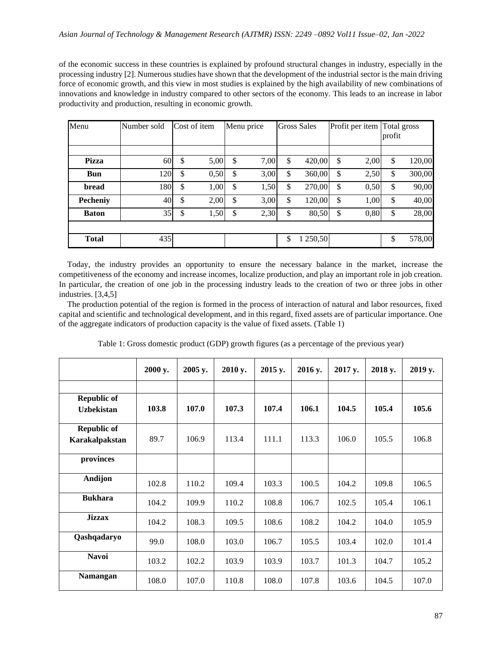of the economic success in these countries is explained by profound structural changes in industry, especially in the processing industry [2]. Numerous studies have shown that the development of the industrial sector is the main driving force of economic growth, and this view in most studies is explained by the high availability of new combinations of innovations and knowledge in industry compared to other sectors of the economy. This leads to an increase in labor productivity and production, resulting in economic growth.

| Menu            | Number sold | Cost of item |              | Menu price | <b>Gross Sales</b> | Profit per item Total gross | profit |        |
|-----------------|-------------|--------------|--------------|------------|--------------------|-----------------------------|--------|--------|
|                 |             |              |              |            |                    |                             |        |        |
| Pizza           | <b>60</b>   | \$<br>5,00   | \$           | 7,00       | \$<br>420,00       | \$<br>2,00                  | \$     | 120,00 |
| <b>Bun</b>      | 120         | \$<br>0,50   | \$           | 3,00       | \$<br>360,00       | \$<br>2,50                  | \$     | 300,00 |
| bread           | 180         | \$<br>1,00   | $\mathbb{S}$ | 1,50       | \$<br>270,00       | \$<br>0,50                  | \$     | 90,00  |
| <b>Pecheniy</b> | 40          | \$<br>2,00   | \$           | 3,00       | \$<br>120,00       | \$<br>1,00                  | \$     | 40,00  |
| <b>Baton</b>    | 35          | \$<br>1,50   | \$           | 2,30       | \$<br>80,50        | \$<br>0,80                  | \$     | 28,00  |
|                 |             |              |              |            |                    |                             |        |        |
| <b>Total</b>    | 435         |              |              |            | \$<br>1 250,50     |                             | \$     | 578,00 |

Today, the industry provides an opportunity to ensure the necessary balance in the market, increase the competitiveness of the economy and increase incomes, localize production, and play an important role in job creation. In particular, the creation of one job in the processing industry leads to the creation of two or three jobs in other industries. [3,4,5]

The production potential of the region is formed in the process of interaction of natural and labor resources, fixed capital and scientific and technological development, and in this regard, fixed assets are of particular importance. One of the aggregate indicators of production capacity is the value of fixed assets. (Table 1)

|                    | 2000 y. | 2005 y. | 2010 y. | 2015 y. | 2016 y. | 2017 y. | 2018 y. | 2019 y. |
|--------------------|---------|---------|---------|---------|---------|---------|---------|---------|
|                    |         |         |         |         |         |         |         |         |
| <b>Republic of</b> |         |         |         |         |         |         |         |         |
| <b>Uzbekistan</b>  | 103.8   | 107.0   | 107.3   | 107.4   | 106.1   | 104.5   | 105.4   | 105.6   |
| <b>Republic of</b> |         |         |         |         |         |         |         |         |
| Karakalpakstan     | 89.7    | 106.9   | 113.4   | 111.1   | 113.3   | 106.0   | 105.5   | 106.8   |
| provinces          |         |         |         |         |         |         |         |         |
| Andijon            | 102.8   | 110.2   | 109.4   | 103.3   | 100.5   | 104.2   | 109.8   | 106.5   |
| <b>Bukhara</b>     | 104.2   | 109.9   | 110.2   | 108.8   | 106.7   | 102.5   | 105.4   | 106.1   |
| <b>Jizzax</b>      | 104.2   | 108.3   | 109.5   | 108.6   | 108.2   | 104.2   | 104.0   | 105.9   |
| Qashqadaryo        | 99.0    | 108.0   | 103.0   | 106.7   | 105.5   | 103.4   | 102.0   | 101.4   |
| <b>Navoi</b>       | 103.2   | 102.2   | 103.9   | 103.9   | 103.7   | 101.3   | 104.7   | 105.2   |
| <b>Namangan</b>    | 108.0   | 107.0   | 110.8   | 108.0   | 107.8   | 103.6   | 104.5   | 107.0   |

Table 1: Gross domestic product (GDP) growth figures (as a percentage of the previous year)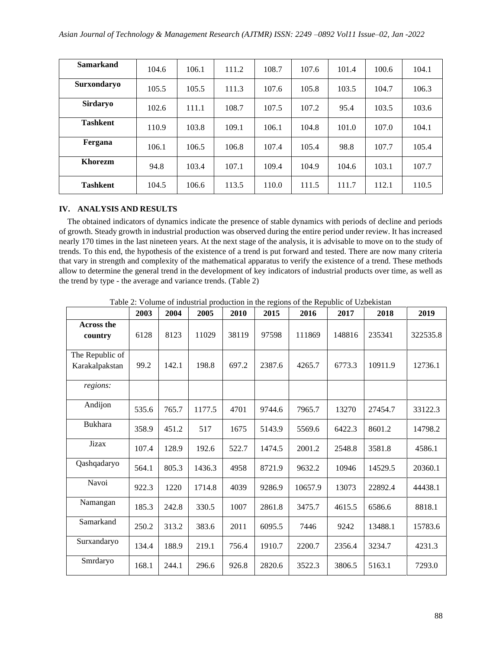| <b>Samarkand</b> | 104.6 | 106.1 | 111.2 | 108.7 | 107.6 | 101.4 | 100.6 | 104.1 |
|------------------|-------|-------|-------|-------|-------|-------|-------|-------|
| Surxondaryo      | 105.5 | 105.5 | 111.3 | 107.6 | 105.8 | 103.5 | 104.7 | 106.3 |
| <b>Sirdaryo</b>  | 102.6 | 111.1 | 108.7 | 107.5 | 107.2 | 95.4  | 103.5 | 103.6 |
| <b>Tashkent</b>  | 110.9 | 103.8 | 109.1 | 106.1 | 104.8 | 101.0 | 107.0 | 104.1 |
| Fergana          | 106.1 | 106.5 | 106.8 | 107.4 | 105.4 | 98.8  | 107.7 | 105.4 |
| <b>Khorezm</b>   | 94.8  | 103.4 | 107.1 | 109.4 | 104.9 | 104.6 | 103.1 | 107.7 |
| <b>Tashkent</b>  | 104.5 | 106.6 | 113.5 | 110.0 | 111.5 | 111.7 | 112.1 | 110.5 |

# **IV. ANALYSIS AND RESULTS**

The obtained indicators of dynamics indicate the presence of stable dynamics with periods of decline and periods of growth. Steady growth in industrial production was observed during the entire period under review. It has increased nearly 170 times in the last nineteen years. At the next stage of the analysis, it is advisable to move on to the study of trends. To this end, the hypothesis of the existence of a trend is put forward and tested. There are now many criteria that vary in strength and complexity of the mathematical apparatus to verify the existence of a trend. These methods allow to determine the general trend in the development of key indicators of industrial products over time, as well as the trend by type - the average and variance trends. (Table 2)

|                                   | 2003  | 2004  | 2005   | 2010  | 2015   | 2016    | 2017   | 2018    | 2019     |
|-----------------------------------|-------|-------|--------|-------|--------|---------|--------|---------|----------|
| <b>Across the</b><br>country      | 6128  | 8123  | 11029  | 38119 | 97598  | 111869  | 148816 | 235341  | 322535.8 |
| The Republic of<br>Karakalpakstan | 99.2  | 142.1 | 198.8  | 697.2 | 2387.6 | 4265.7  | 6773.3 | 10911.9 | 12736.1  |
| regions:                          |       |       |        |       |        |         |        |         |          |
| Andijon                           | 535.6 | 765.7 | 1177.5 | 4701  | 9744.6 | 7965.7  | 13270  | 27454.7 | 33122.3  |
| Bukhara                           | 358.9 | 451.2 | 517    | 1675  | 5143.9 | 5569.6  | 6422.3 | 8601.2  | 14798.2  |
| Jizax                             | 107.4 | 128.9 | 192.6  | 522.7 | 1474.5 | 2001.2  | 2548.8 | 3581.8  | 4586.1   |
| Qashqadaryo                       | 564.1 | 805.3 | 1436.3 | 4958  | 8721.9 | 9632.2  | 10946  | 14529.5 | 20360.1  |
| Navoi                             | 922.3 | 1220  | 1714.8 | 4039  | 9286.9 | 10657.9 | 13073  | 22892.4 | 44438.1  |
| Namangan                          | 185.3 | 242.8 | 330.5  | 1007  | 2861.8 | 3475.7  | 4615.5 | 6586.6  | 8818.1   |
| Samarkand                         | 250.2 | 313.2 | 383.6  | 2011  | 6095.5 | 7446    | 9242   | 13488.1 | 15783.6  |
| Surxandaryo                       | 134.4 | 188.9 | 219.1  | 756.4 | 1910.7 | 2200.7  | 2356.4 | 3234.7  | 4231.3   |
| Smrdaryo                          | 168.1 | 244.1 | 296.6  | 926.8 | 2820.6 | 3522.3  | 3806.5 | 5163.1  | 7293.0   |

Table 2: Volume of industrial production in the regions of the Republic of Uzbekistan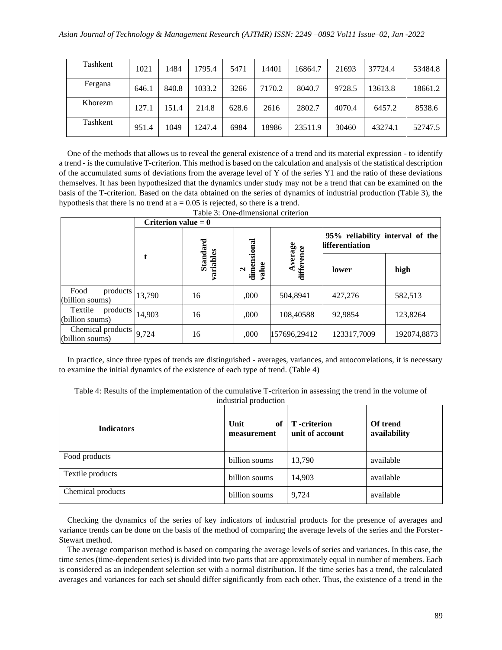| Tashkent | 1021  | 1484  | 1795.4 | 5471  | 14401  | 16864.7 | 21693  | 37724.4 | 53484.8 |
|----------|-------|-------|--------|-------|--------|---------|--------|---------|---------|
| Fergana  | 646.1 | 840.8 | 1033.2 | 3266  | 7170.2 | 8040.7  | 9728.5 | 13613.8 | 18661.2 |
| Khorezm  | 127.1 | 151.4 | 214.8  | 628.6 | 2616   | 2802.7  | 4070.4 | 6457.2  | 8538.6  |
| Tashkent | 951.4 | 1049  | 1247.4 | 6984  | 18986  | 23511.9 | 30460  | 43274.1 | 52747.5 |

One of the methods that allows us to reveal the general existence of a trend and its material expression - to identify a trend - is the cumulative T-criterion. This method is based on the calculation and analysis of the statistical description of the accumulated sums of deviations from the average level of Y of the series Y1 and the ratio of these deviations themselves. It has been hypothesized that the dynamics under study may not be a trend that can be examined on the basis of the T-criterion. Based on the data obtained on the series of dynamics of industrial production (Table 3), the hypothesis that there is no trend at  $a = 0.05$  is rejected, so there is a trend. Table 3: One-dimensional criterion

|                                        | Criterion value $= 0$ |                     |                                           |                       |                                                    |             |  |  |
|----------------------------------------|-----------------------|---------------------|-------------------------------------------|-----------------------|----------------------------------------------------|-------------|--|--|
|                                        |                       |                     |                                           |                       | 95% reliability interval of the<br>lifferentiation |             |  |  |
|                                        | t                     | Standard<br>riables | dimensional<br>value<br>$\mathbf{\Omega}$ | Average<br>difference | lower                                              | high        |  |  |
| Food<br>products<br>(billion soums)    | 13,790                | 16                  | ,000                                      | 504,8941              | 427,276                                            | 582,513     |  |  |
| Textile<br>products<br>(billion soums) | 14,903                | 16                  | ,000                                      | 108,40588             | 92,9854                                            | 123,8264    |  |  |
| Chemical products<br>(billion soums)   | 9,724                 | 16                  | ,000                                      | 157696,29412          | 123317,7009                                        | 192074,8873 |  |  |

In practice, since three types of trends are distinguished - averages, variances, and autocorrelations, it is necessary to examine the initial dynamics of the existence of each type of trend. (Table 4)

Table 4: Results of the implementation of the cumulative T-criterion in assessing the trend in the volume of industrial production

| <b>Indicators</b> | Unit<br>of<br>measurement | <b>T</b> -criterion<br>unit of account | Of trend<br>availability |
|-------------------|---------------------------|----------------------------------------|--------------------------|
| Food products     | billion soums             | 13,790                                 | available                |
| Textile products  | billion soums             | 14,903                                 | available                |
| Chemical products | billion soums             | 9,724                                  | available                |

Checking the dynamics of the series of key indicators of industrial products for the presence of averages and variance trends can be done on the basis of the method of comparing the average levels of the series and the Forster-Stewart method.

The average comparison method is based on comparing the average levels of series and variances. In this case, the time series (time-dependent series) is divided into two parts that are approximately equal in number of members. Each is considered as an independent selection set with a normal distribution. If the time series has a trend, the calculated averages and variances for each set should differ significantly from each other. Thus, the existence of a trend in the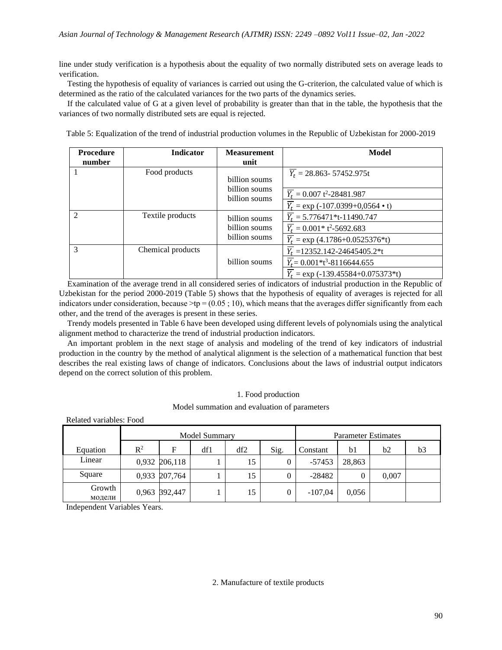line under study verification is a hypothesis about the equality of two normally distributed sets on average leads to verification.

Testing the hypothesis of equality of variances is carried out using the G-criterion, the calculated value of which is determined as the ratio of the calculated variances for the two parts of the dynamics series.

If the calculated value of G at a given level of probability is greater than that in the table, the hypothesis that the variances of two normally distributed sets are equal is rejected.

|  | Table 5: Equalization of the trend of industrial production volumes in the Republic of Uzbekistan for 2000-2019 |
|--|-----------------------------------------------------------------------------------------------------------------|
|  |                                                                                                                 |

| <b>Procedure</b>            | <b>Indicator</b>  | <b>Measurement</b>             | Model                                                |
|-----------------------------|-------------------|--------------------------------|------------------------------------------------------|
| number                      |                   | unit                           |                                                      |
|                             | Food products     | billion soums                  | $Y_t = 28.863 - 57452.975t$                          |
|                             |                   | billion soums<br>billion soums | $\overline{Y_t}$ = 0.007 t <sup>2</sup> -28481.987   |
|                             |                   |                                | $Y_t = \exp(-107.0399+0.0564 \cdot t)$               |
| $\mathcal{D}_{\mathcal{L}}$ | Textile products  | billion soums                  | $Y_t = 5.776471* t-11490.747$                        |
|                             |                   | billion soums                  | $\overline{Y_t} = 0.001 * t^2 - 5692.683$            |
|                             |                   | billion soums                  | $\overline{Y_t}$ = exp (4.1786+0.0525376*t)          |
| $\mathcal{R}$               | Chemical products |                                | $Y_t = 12352.142 - 24645405.2*t$                     |
|                             |                   | billion soums                  | $\overline{Y_t}$ = 0.001*t <sup>3</sup> -8116644.655 |
|                             |                   |                                | $Y_t = \exp(-139.45584 + 0.075373)$ *t)              |

Examination of the average trend in all considered series of indicators of industrial production in the Republic of Uzbekistan for the period 2000-2019 (Table 5) shows that the hypothesis of equality of averages is rejected for all indicators under consideration, because  $\geq$  tp = (0.05; 10), which means that the averages differ significantly from each other, and the trend of the averages is present in these series.

Trendy models presented in Table 6 have been developed using different levels of polynomials using the analytical alignment method to characterize the trend of industrial production indicators.

An important problem in the next stage of analysis and modeling of the trend of key indicators of industrial production in the country by the method of analytical alignment is the selection of a mathematical function that best describes the real existing laws of change of indicators. Conclusions about the laws of industrial output indicators depend on the correct solution of this problem.

#### 1. Food production

Model summation and evaluation of parameters

| Related variables: Food |       |               |               |     |                            |           |        |       |    |
|-------------------------|-------|---------------|---------------|-----|----------------------------|-----------|--------|-------|----|
|                         |       |               | Model Summary |     | <b>Parameter Estimates</b> |           |        |       |    |
| Equation                | $R^2$ | F             | df1           | df2 | Sig.                       | Constant  | b1     | b2    | b3 |
| Linear                  |       | 0,932 206,118 |               | 15  | $\theta$                   | -57453    | 28,863 |       |    |
| Square                  |       | 0,933 207,764 |               | 15  | $\theta$                   | $-28482$  | 0      | 0,007 |    |
| Growth<br>модели        |       | 0,963 392,447 |               | 15  |                            | $-107,04$ | 0,056  |       |    |

Independent Variables Years.

## 2. Manufacture of textile products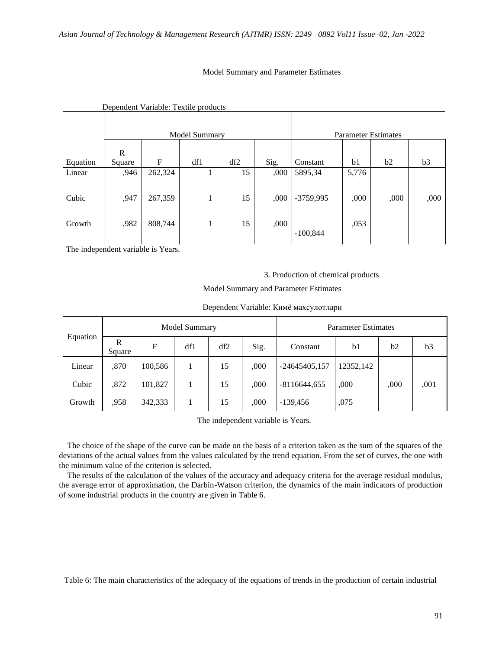# Model Summary and Parameter Estimates

|          |        |              | Model Summary |     |      | <b>Parameter Estimates</b> |       |      |      |
|----------|--------|--------------|---------------|-----|------|----------------------------|-------|------|------|
|          | R      |              |               |     |      |                            |       |      |      |
| Equation | Square | $\mathbf{F}$ | df1           | df2 | Sig. | Constant                   | b1    | b2   | b3   |
| Linear   | ,946   | 262,324      | Τ.            | 15  | ,000 | 5895,34                    | 5,776 |      |      |
| Cubic    | ,947   | 267,359      | ı.            | 15  | ,000 | $-3759,995$                | ,000  | ,000 | ,000 |
| Growth   | ,982   | 808,744      | T             | 15  | ,000 | $-100,844$                 | ,053  |      |      |

## Dependent Variable: Textile products

The independent variable is Years.

3. Production of chemical products

Model Summary and Parameter Estimates

| Equation | Model Summary |         |     |     |      | <b>Parameter Estimates</b> |                |      |      |
|----------|---------------|---------|-----|-----|------|----------------------------|----------------|------|------|
|          | R<br>Square   | F       | df1 | df2 | Sig. | Constant                   | b <sub>1</sub> | b2   | b3   |
| Linear   | ,870          | 100,586 |     | 15  | ,000 | $-24645405,157$            | 12352,142      |      |      |
| Cubic    | ,872          | 101,827 |     | 15  | ,000 | $-8116644,655$             | ,000           | ,000 | ,001 |
| Growth   | ,958          | 342,333 |     | 15  | .000 | $-139,456$                 | ,075           |      |      |

The independent variable is Years.

The choice of the shape of the curve can be made on the basis of a criterion taken as the sum of the squares of the deviations of the actual values from the values calculated by the trend equation. From the set of curves, the one with the minimum value of the criterion is selected.

The results of the calculation of the values of the accuracy and adequacy criteria for the average residual modulus, the average error of approximation, the Darbin-Watson criterion, the dynamics of the main indicators of production of some industrial products in the country are given in Table 6.

Table 6: The main characteristics of the adequacy of the equations of trends in the production of certain industrial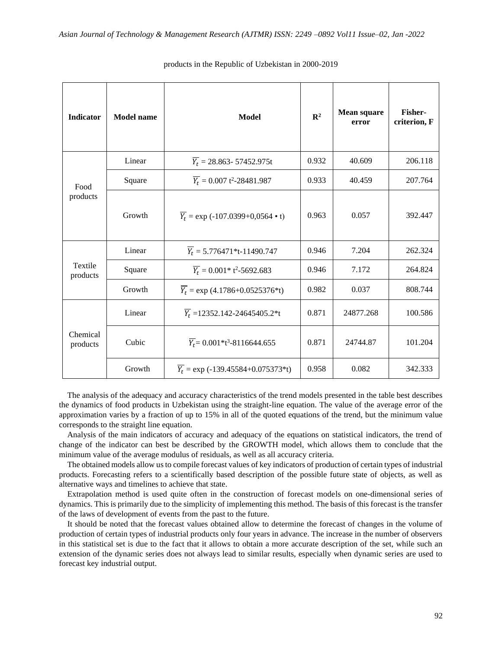| <b>Indicator</b>          | <b>Model name</b> | <b>Model</b>                                         | $\mathbb{R}^2$ | <b>Mean square</b><br>error | Fisher-<br>criterion, F |
|---------------------------|-------------------|------------------------------------------------------|----------------|-----------------------------|-------------------------|
| Food<br>$\bold{products}$ | Linear            | $\overline{Y_t}$ = 28.863- 57452.975t                | 0.932          | 40.609                      | 206.118                 |
|                           | Square            | $\overline{Y_t}$ = 0.007 t <sup>2</sup> -28481.987   | 0.933          | 40.459                      | 207.764                 |
|                           | Growth            | $\overline{Y_t}$ = exp (-107.0399+0,0564 • t)        | 0.963          | 0.057                       | 392.447                 |
| Textile<br>products       | Linear            | $\overline{Y_t}$ = 5.776471*t-11490.747              | 0.946          | 7.204                       | 262.324                 |
|                           | Square            | $\overline{Y_t} = 0.001 * t^2 - 5692.683$            | 0.946          | 7.172                       | 264.824                 |
|                           | Growth            | $\overline{Y_t}$ = exp (4.1786+0.0525376*t)          | 0.982          | 0.037                       | 808.744                 |
| Chemical<br>products      | Linear            | $\overline{Y_t}$ = 12352.142-24645405.2*t            | 0.871          | 24877.268                   | 100.586                 |
|                           | Cubic             | $\overline{Y_t}$ = 0.001*t <sup>3</sup> -8116644.655 | 0.871          | 24744.87                    | 101.204                 |
|                           | Growth            | $\overline{Y_t}$ = exp (-139.45584+0.075373*t)       | 0.958          | 0.082                       | 342.333                 |

#### products in the Republic of Uzbekistan in 2000-2019

The analysis of the adequacy and accuracy characteristics of the trend models presented in the table best describes the dynamics of food products in Uzbekistan using the straight-line equation. The value of the average error of the approximation varies by a fraction of up to 15% in all of the quoted equations of the trend, but the minimum value corresponds to the straight line equation.

Analysis of the main indicators of accuracy and adequacy of the equations on statistical indicators, the trend of change of the indicator can best be described by the GROWTH model, which allows them to conclude that the minimum value of the average modulus of residuals, as well as all accuracy criteria.

The obtained models allow us to compile forecast values of key indicators of production of certain types of industrial products. Forecasting refers to a scientifically based description of the possible future state of objects, as well as alternative ways and timelines to achieve that state.

Extrapolation method is used quite often in the construction of forecast models on one-dimensional series of dynamics. This is primarily due to the simplicity of implementing this method. The basis of this forecast is the transfer of the laws of development of events from the past to the future.

It should be noted that the forecast values obtained allow to determine the forecast of changes in the volume of production of certain types of industrial products only four years in advance. The increase in the number of observers in this statistical set is due to the fact that it allows to obtain a more accurate description of the set, while such an extension of the dynamic series does not always lead to similar results, especially when dynamic series are used to forecast key industrial output.